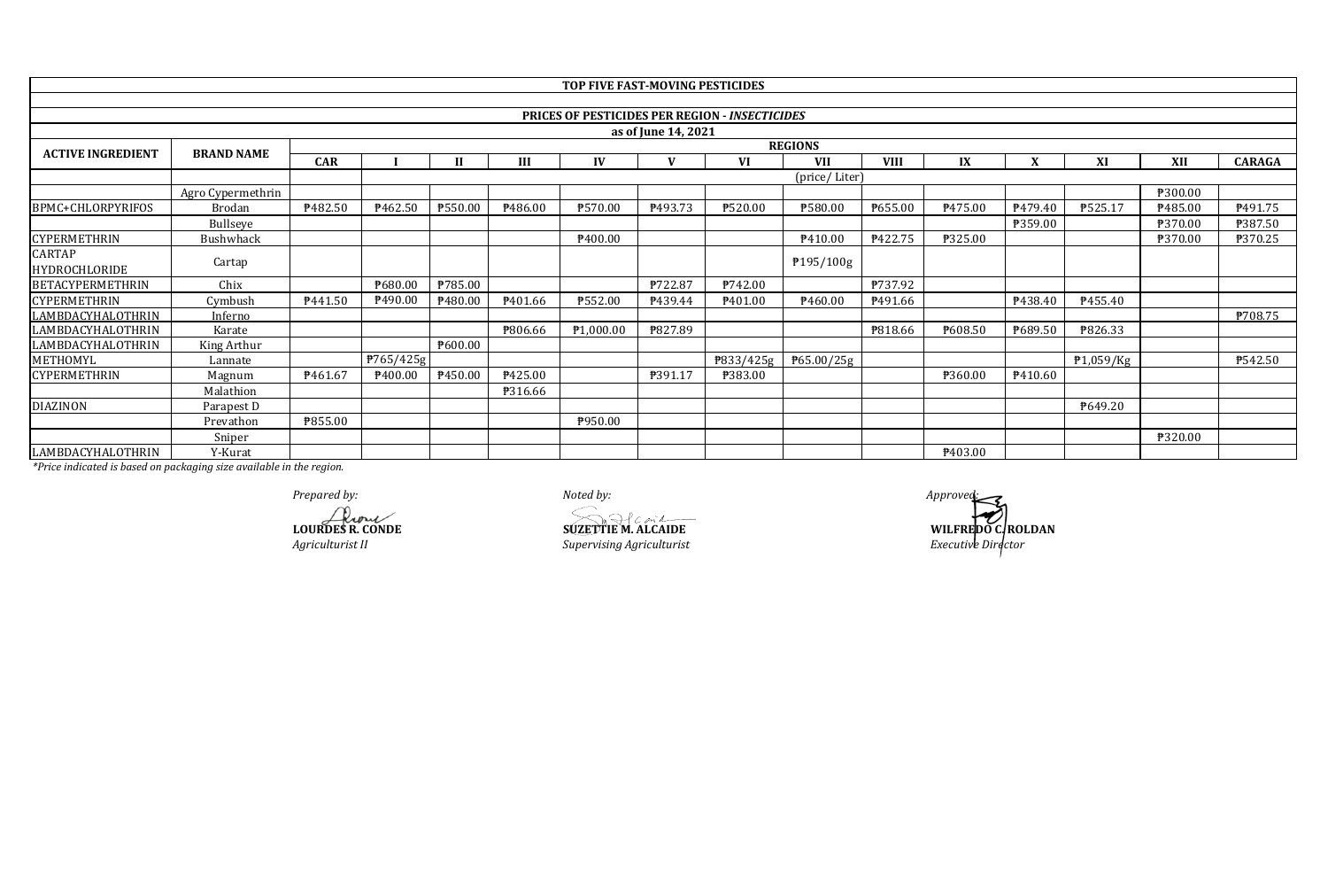|                          |                   |                     |                       |         |                | TOP FIVE FAST-MOVING PESTICIDES |                     |                                                       |                     |                |         |              |                 |                |               |
|--------------------------|-------------------|---------------------|-----------------------|---------|----------------|---------------------------------|---------------------|-------------------------------------------------------|---------------------|----------------|---------|--------------|-----------------|----------------|---------------|
|                          |                   |                     |                       |         |                |                                 |                     |                                                       |                     |                |         |              |                 |                |               |
|                          |                   |                     |                       |         |                |                                 |                     | <b>PRICES OF PESTICIDES PER REGION - INSECTICIDES</b> |                     |                |         |              |                 |                |               |
|                          |                   |                     |                       |         |                |                                 | as of June 14, 2021 |                                                       |                     |                |         |              |                 |                |               |
| <b>ACTIVE INGREDIENT</b> | <b>BRAND NAME</b> |                     |                       |         |                |                                 |                     |                                                       | <b>REGIONS</b>      |                |         |              |                 |                |               |
|                          |                   | <b>CAR</b>          |                       | п       | III            | IV                              |                     | VI                                                    | <b>VII</b>          | <b>VIII</b>    | IX      | $\mathbf{v}$ | XI              | XII            | <b>CARAGA</b> |
|                          |                   |                     |                       |         |                |                                 |                     |                                                       | (price/Liter)       |                |         |              |                 |                |               |
|                          | Agro Cypermethrin |                     |                       |         |                |                                 |                     |                                                       |                     |                |         |              |                 | ₱300.00        |               |
| BPMC+CHLORPYRIFOS        | <b>Brodan</b>     | ₱482.50             | P <sub>462.50</sub>   | ₱550.00 | P486.00        | ₱570.00                         | P493.73             | ₱520.00                                               | ₱580.00             | P655.00        | P475.00 | P479.40      | P525.17         | P485.00        | P491.75       |
|                          | Bullseye          |                     |                       |         |                |                                 |                     |                                                       |                     |                |         | ₱359.00      |                 | P370.00        | ₱387.50       |
| <b>CYPERMETHRIN</b>      | Bushwhack         |                     |                       |         |                | P400.00                         |                     |                                                       | P410.00             | P422.75        | ₱325.00 |              |                 | ₱370.00        | ₱370.25       |
| CARTAP<br>HYDROCHLORIDE  | Cartap            |                     |                       |         |                |                                 |                     |                                                       | P195/100g           |                |         |              |                 |                |               |
| <b>BETACYPERMETHRIN</b>  | Chix              |                     | P680.00               | ₱785.00 |                |                                 | P722.87             | P742.00                                               |                     | P737.92        |         |              |                 |                |               |
| <b>CYPERMETHRIN</b>      | Cymbush           | P <sub>441.50</sub> | P <sub>490.00</sub>   | ₱480.00 | P401.66        | ₱552.00                         | P439.44             | P <sub>401.00</sub>                                   | P <sub>460.00</sub> | P491.66        |         | P438.40      | <u> ₱455.40</u> |                |               |
| LAMBDACYHALOTHRIN        | Inferno           |                     |                       |         |                |                                 |                     |                                                       |                     |                |         |              |                 |                | P708.75       |
| LAMBDACYHALOTHRIN        | Karate            |                     |                       |         | ₱806.66        | P1,000.00                       | P827.89             |                                                       |                     | <b>P818.66</b> | P608.50 | P689.50      | ₱826.33         |                |               |
| LAMBDACYHALOTHRIN        | King Arthur       |                     |                       | 7600.00 |                |                                 |                     |                                                       |                     |                |         |              |                 |                |               |
| METHOMYL                 | Lannate           |                     | $\frac{P}{765}{425g}$ |         |                |                                 |                     | P833/425g                                             | P65.00/25g          |                |         |              | ₱1,059/Kg       |                | ₱542.50       |
| <b>CYPERMETHRIN</b>      | Magnum            | P <sub>461.67</sub> | P400.00               | P450.00 | ₱425.00        |                                 | P391.17             | ₱383.00                                               |                     |                | ₱360.00 | P410.60      |                 |                |               |
|                          | Malathion         |                     |                       |         | <b>P316.66</b> |                                 |                     |                                                       |                     |                |         |              |                 |                |               |
| <b>DIAZINON</b>          | Parapest D        |                     |                       |         |                |                                 |                     |                                                       |                     |                |         |              | P649.20         |                |               |
|                          | Prevathon         | <b>P855.00</b>      |                       |         |                | P950.00                         |                     |                                                       |                     |                |         |              |                 |                |               |
|                          | Sniper            |                     |                       |         |                |                                 |                     |                                                       |                     |                |         |              |                 | <b>P320.00</b> |               |
| LAMBDACYHALOTHRIN        | Y-Kurat           |                     |                       |         |                |                                 |                     |                                                       |                     |                | P403.00 |              |                 |                |               |

**LOURDES R. CONDE**<br> **LOURDES R. CONDE**<br> *SUZETTIE* M. ALCAIDE<br> *Supervising Agriculturist Agriculturist II Supervising Agriculturist*

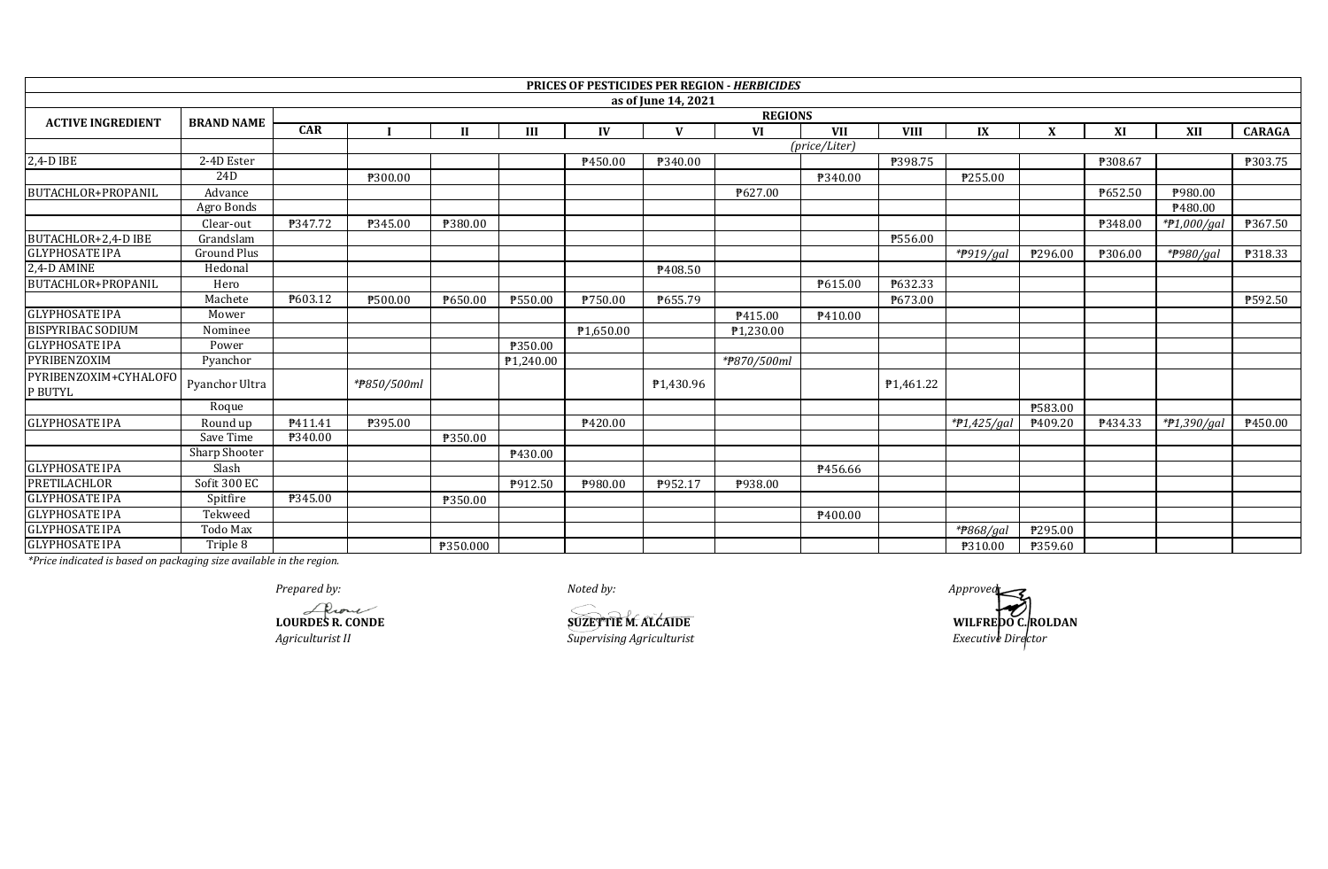|                                  |                      |            |                |              |                       |                       |                     | <b>PRICES OF PESTICIDES PER REGION - HERBICIDES</b> |               |                        |                          |             |         |                |                |
|----------------------------------|----------------------|------------|----------------|--------------|-----------------------|-----------------------|---------------------|-----------------------------------------------------|---------------|------------------------|--------------------------|-------------|---------|----------------|----------------|
|                                  |                      |            |                |              |                       |                       | as of June 14, 2021 |                                                     |               |                        |                          |             |         |                |                |
| <b>ACTIVE INGREDIENT</b>         | <b>BRAND NAME</b>    |            |                |              |                       |                       |                     | <b>REGIONS</b>                                      |               |                        |                          |             |         |                |                |
|                                  |                      | <b>CAR</b> |                | $\mathbf{H}$ | Ш                     | IV                    | $\mathbf{V}$        | <b>VI</b>                                           | <b>VII</b>    | <b>VIII</b>            | IX                       | $\mathbf X$ | XI      | XII            | <b>CARAGA</b>  |
|                                  |                      |            |                |              |                       |                       |                     |                                                     | (price/Liter) |                        |                          |             |         |                |                |
| 2,4-D IBE                        | 2-4D Ester           |            |                |              |                       | ₹450.00               | ₱340.00             |                                                     |               | ₱398.75                |                          |             | ₱308.67 |                | <b>P303.75</b> |
|                                  | 24D                  |            | ₹300.00        |              |                       |                       |                     |                                                     | P340.00       |                        | P255.00                  |             |         |                |                |
| BUTACHLOR+PROPANIL               | Advance              |            |                |              |                       |                       |                     | ₹627.00                                             |               |                        |                          |             | ₱652.50 | ₱980.00        |                |
|                                  | Agro Bonds           |            |                |              |                       |                       |                     |                                                     |               |                        |                          |             |         | ₱480.00        |                |
|                                  | Clear-out            | ₱347.72    | ₱345.00        | ₱380.00      |                       |                       |                     |                                                     |               |                        |                          |             | ₱348.00 | * $7.000$ /gai | ₱367.50        |
| BUTACHLOR+2,4-D IBE              | Grandslam            |            |                |              |                       |                       |                     |                                                     |               | ₱556.00                |                          |             |         |                |                |
| <b>GLYPHOSATE IPA</b>            | Ground Plus          |            |                |              |                       |                       |                     |                                                     |               |                        | $*$ <del>P</del> 919/gal | P296.00     | ₱306.00 | *#980/gal      | <b>P318.33</b> |
| 2,4-D AMINE                      | Hedonal              |            |                |              |                       |                       | P408.50             |                                                     |               |                        |                          |             |         |                |                |
| BUTACHLOR+PROPANIL               | Hero                 |            |                |              |                       |                       |                     |                                                     | P615.00       | P632.33                |                          |             |         |                |                |
|                                  | Machete              | P603.12    | <b>P500.00</b> | ₱650.00      | ₱550.00               | ₱750.00               | P655.79             |                                                     |               | P673.00                |                          |             |         |                | ₱592.50        |
| <b>GLYPHOSATE IPA</b>            | Mower                |            |                |              |                       |                       |                     | P415.00                                             | P410.00       |                        |                          |             |         |                |                |
| <b>BISPYRIBAC SODIUM</b>         | Nominee              |            |                |              |                       | P <sub>1,650.00</sub> |                     | P <sub>1,230.00</sub>                               |               |                        |                          |             |         |                |                |
| <b>GLYPHOSATE IPA</b>            | Power                |            |                |              | ₱350.00               |                       |                     |                                                     |               |                        |                          |             |         |                |                |
| PYRIBENZOXIM                     | Pyanchor             |            |                |              | P <sub>1,240.00</sub> |                       |                     | *#870/500ml                                         |               |                        |                          |             |         |                |                |
| PYRIBENZOXIM+CYHALOFO<br>P BUTYL | Pyanchor Ultra       |            | *#850/500ml    |              |                       |                       | ₱1,430.96           |                                                     |               | P <sub>1</sub> ,461.22 |                          |             |         |                |                |
|                                  | Roque                |            |                |              |                       |                       |                     |                                                     |               |                        |                          | ₹583.00     |         |                |                |
| <b>GLYPHOSATE IPA</b>            | Round up             | P411.41    | ₱395.00        |              |                       | ₱420.00               |                     |                                                     |               |                        | *#1,425/gal              | ₱409.20     | P434.33 | *P1,390/gal    | ₹450.00        |
|                                  | Save Time            | ₱340.00    |                | ₱350.00      |                       |                       |                     |                                                     |               |                        |                          |             |         |                |                |
|                                  | <b>Sharp Shooter</b> |            |                |              | P430.00               |                       |                     |                                                     |               |                        |                          |             |         |                |                |
| <b>GLYPHOSATE IPA</b>            | Slash                |            |                |              |                       |                       |                     |                                                     | P456.66       |                        |                          |             |         |                |                |
| PRETILACHLOR                     | Sofit 300 EC         |            |                |              | P912.50               | ₱980.00               | ₱952.17             | P938.00                                             |               |                        |                          |             |         |                |                |
| <b>GLYPHOSATE IPA</b>            | Spitfire             | ₱345.00    |                | ₱350.00      |                       |                       |                     |                                                     |               |                        |                          |             |         |                |                |
| <b>GLYPHOSATE IPA</b>            | Tekweed              |            |                |              |                       |                       |                     |                                                     | P400.00       |                        |                          |             |         |                |                |
| <b>GLYPHOSATE IPA</b>            | Todo Max             |            |                |              |                       |                       |                     |                                                     |               |                        | * <del>P</del> 868/aal   | P295.00     |         |                |                |
| <b>GLYPHOSATE IPA</b>            | Triple 8             |            |                | ₱350.000     |                       |                       |                     |                                                     |               |                        | ₱310.00                  | ₱359.60     |         |                |                |

*Prepared by: Noted by: Approved:*

**LOURDES R. CONDE**<br> **LOURDES R. CONDE**<br> *Agriculturist II*<br> *Supervising Agriculturist* 

**WILFREDO C. ROLDAN** *Executive Director*

*Agriculturist II Supervising Agriculturist*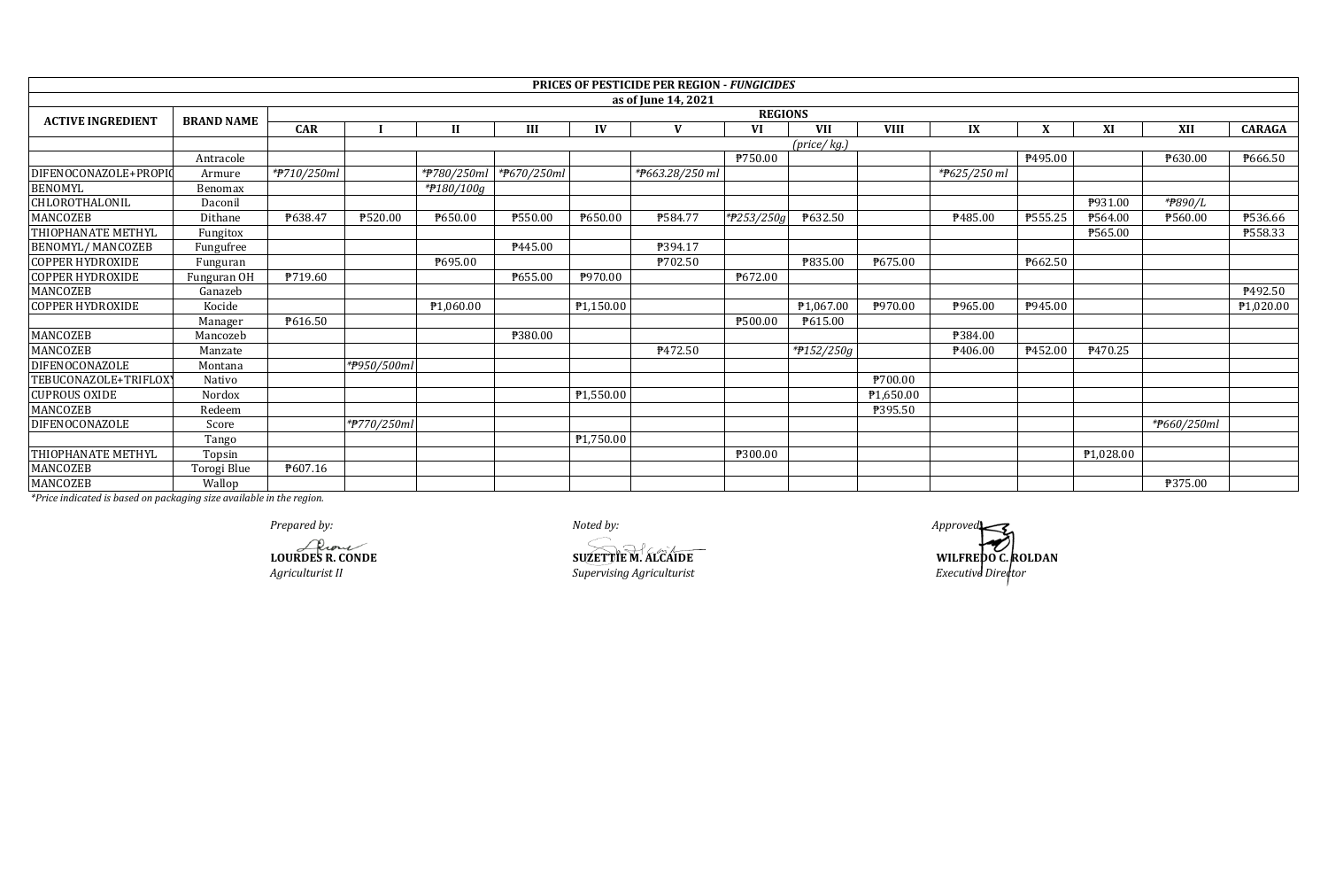|                           |                   |                |                |                       |                |                        | <b>PRICES OF PESTICIDE PER REGION - FUNGICIDES</b> |            |             |             |              |                |           |             |               |  |
|---------------------------|-------------------|----------------|----------------|-----------------------|----------------|------------------------|----------------------------------------------------|------------|-------------|-------------|--------------|----------------|-----------|-------------|---------------|--|
|                           |                   |                |                |                       |                |                        | as of June 14, 2021                                |            |             |             |              |                |           |             |               |  |
| <b>ACTIVE INGREDIENT</b>  | <b>BRAND NAME</b> |                | <b>REGIONS</b> |                       |                |                        |                                                    |            |             |             |              |                |           |             |               |  |
|                           |                   | <b>CAR</b>     |                | $\mathbf{I}$          | Ш              | IV                     | V                                                  | VI         | <b>VII</b>  | <b>VIII</b> | IX           | X              | XI        | XII         | <b>CARAGA</b> |  |
|                           |                   |                |                |                       |                |                        |                                                    |            | (price/kg.) |             |              |                |           |             |               |  |
|                           | Antracole         |                |                |                       |                |                        |                                                    | ₱750.00    |             |             |              | P495.00        |           | ₱630.00     | ₱666.50       |  |
| DIFENOCONAZOLE+PROPIO     | Armure            | *#710/250ml    |                | *#780/250ml           | *#670/250ml    |                        | *P663.28/250 ml                                    |            |             |             | *P625/250 ml |                |           |             |               |  |
| <b>BENOMYL</b>            | Benomax           |                |                | *#180/100g            |                |                        |                                                    |            |             |             |              |                |           |             |               |  |
| CHLOROTHALONIL            | Daconil           |                |                |                       |                |                        |                                                    |            |             |             |              |                | P931.00   | *#890/L     |               |  |
| MANCOZEB                  | Dithane           | P638.47        | ₱520.00        | ₱650.00               | <b>P550.00</b> | ₱650.00                | ₱584.77                                            | *#253/250g | P632.50     |             | ₱485.00      | ₱555.25        | ₱564.00   | ₱560.00     | ₱536.66       |  |
| <b>THIOPHANATE METHYL</b> | Fungitox          |                |                |                       |                |                        |                                                    |            |             |             |              |                | ₱565.00   |             | P558.33       |  |
| <b>BENOMYL/MANCOZEB</b>   | Fungufree         |                |                |                       | P445.00        |                        | ₱394.17                                            |            |             |             |              |                |           |             |               |  |
| <b>COPPER HYDROXIDE</b>   | Funguran          |                |                | ₱695.00               |                |                        | ₱702.50                                            |            | ₱835.00     | P675.00     |              | ₱662.50        |           |             |               |  |
| <b>COPPER HYDROXIDE</b>   | Funguran OH       | <b>P719.60</b> |                |                       | ₱655.00        | P970.00                |                                                    | ₱672.00    |             |             |              |                |           |             |               |  |
| <b>MANCOZEB</b>           | Ganazeb           |                |                |                       |                |                        |                                                    |            |             |             |              |                |           |             | P492.50       |  |
| <b>COPPER HYDROXIDE</b>   | Kocide            |                |                | P <sub>1,060.00</sub> |                | $\overline{P1,150.00}$ |                                                    |            | ₱1,067.00   | P970.00     | P965.00      | P945.00        |           |             | ₱1,020.00     |  |
|                           | Manager           | P616.50        |                |                       |                |                        |                                                    | ₱500.00    | P615.00     |             |              |                |           |             |               |  |
| MANCOZEB                  | Mancozeb          |                |                |                       | ₱380.00        |                        |                                                    |            |             |             | ₱384.00      |                |           |             |               |  |
| <b>MANCOZEB</b>           | Manzate           |                |                |                       |                |                        | P472.50                                            |            | *#152/250g  |             | P406.00      | <b>\452.00</b> | ₱470.25   |             |               |  |
| DIFENOCONAZOLE            | Montana           |                | *P950/500ml    |                       |                |                        |                                                    |            |             |             |              |                |           |             |               |  |
| TEBUCONAZOLE+TRIFLOX      | Nativo            |                |                |                       |                |                        |                                                    |            |             | ₱700.00     |              |                |           |             |               |  |
| <b>CUPROUS OXIDE</b>      | Nordox            |                |                |                       |                | ₱1,550.00              |                                                    |            |             | ₱1,650.00   |              |                |           |             |               |  |
| <b>MANCOZEB</b>           | Redeem            |                |                |                       |                |                        |                                                    |            |             | ₱395.50     |              |                |           |             |               |  |
| DIFENOCONAZOLE            | Score             |                | *#770/250ml    |                       |                |                        |                                                    |            |             |             |              |                |           | *#660/250ml |               |  |
|                           | Tango             |                |                |                       |                | ₱1,750.00              |                                                    |            |             |             |              |                |           |             |               |  |
| THIOPHANATE METHYL        | Topsin            |                |                |                       |                |                        |                                                    | ₱300.00    |             |             |              |                | ₱1,028.00 |             |               |  |
| MANCOZEB                  | Torogi Blue       | ₱607.16        |                |                       |                |                        |                                                    |            |             |             |              |                |           |             |               |  |
| MANCOZEB                  | Wallop            |                |                |                       |                |                        |                                                    |            |             |             |              |                |           | ₱375.00     |               |  |

*Prepared by: Noted by: Approved:*

**LOURDES R. CONDE**<br> **LOURDES R. CONDE**<br> *Agriculturist II*<br> *Supervising Agriculturist Agriculturist II Supervising Agriculturist*

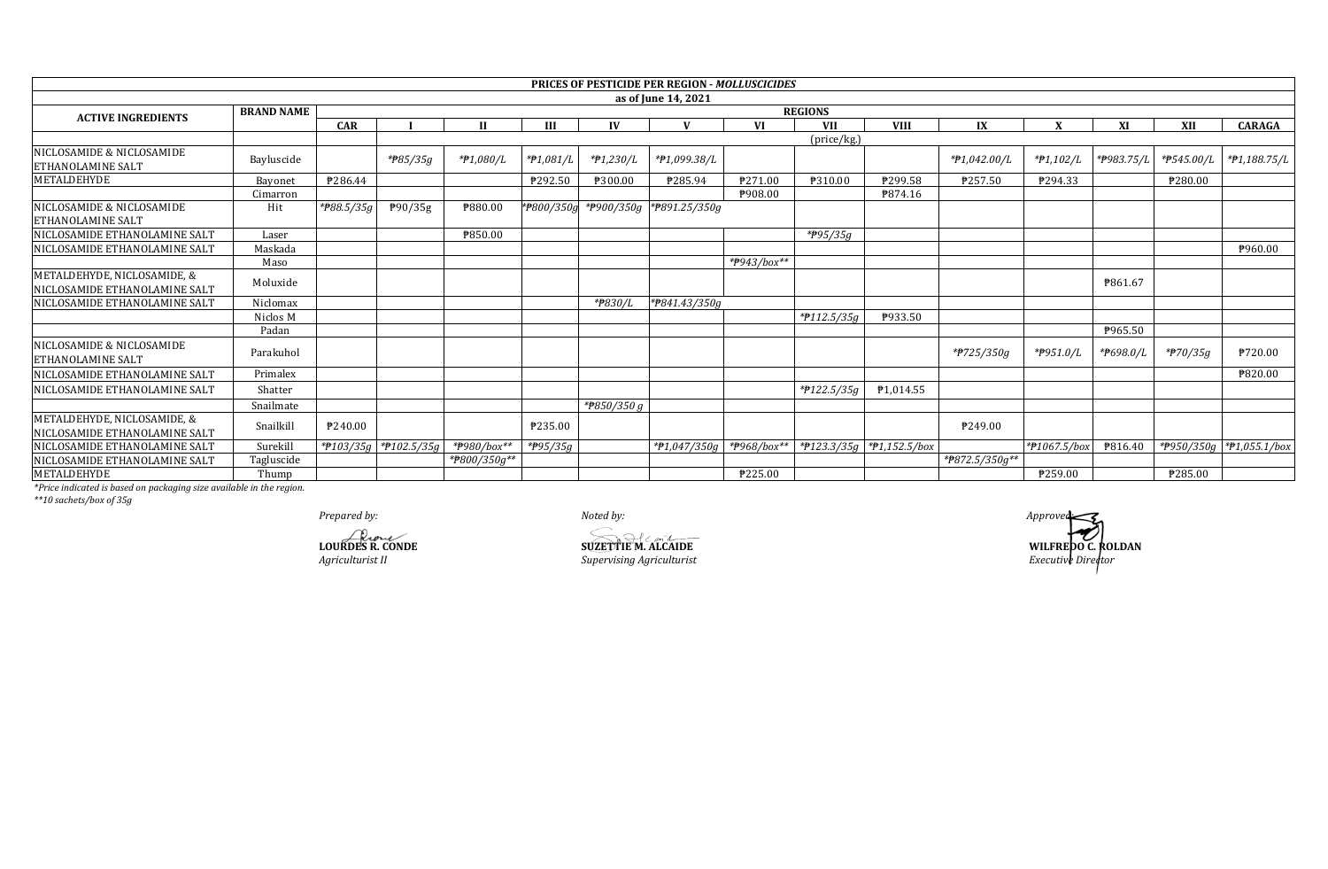|                                                              |                   |            |                             |                           |                       |             | <b>PRICES OF PESTICIDE PER REGION - MOLLUSCICIDES</b> |             |                         |                           |                |              |            |            |                          |  |
|--------------------------------------------------------------|-------------------|------------|-----------------------------|---------------------------|-----------------------|-------------|-------------------------------------------------------|-------------|-------------------------|---------------------------|----------------|--------------|------------|------------|--------------------------|--|
|                                                              |                   |            |                             |                           |                       |             | as of June 14, 2021                                   |             |                         |                           |                |              |            |            |                          |  |
| <b>ACTIVE INGREDIENTS</b>                                    | <b>BRAND NAME</b> |            | <b>REGIONS</b>              |                           |                       |             |                                                       |             |                         |                           |                |              |            |            |                          |  |
|                                                              |                   | <b>CAR</b> |                             | Н                         | Ш                     | IV          |                                                       | <b>VI</b>   | <b>VII</b>              | <b>VIII</b>               | IX             |              | XI         | XII        | <b>CARAGA</b>            |  |
|                                                              |                   |            |                             |                           |                       |             |                                                       |             | (price/kg.)             |                           |                |              |            |            |                          |  |
| NICLOSAMIDE & NICLOSAMIDE<br><b>ETHANOLAMINE SALT</b>        | Bayluscide        |            | *#85/35g                    | *#1,080/L                 | *#1,081/L             | *#1,230/L   | *#1,099.38/L                                          |             |                         |                           | *#1,042.00/L   | $*P1,102/L$  | *P983.75/L | *#545.00/L | $*P1,188.75/L$           |  |
| METALDEHYDE                                                  | Bayonet           | P286.44    |                             |                           | ₱292.50               | ₱300.00     | P285.94                                               | ₱271.00     | ₱310.00                 | ₱299.58                   | ₱257.50        | ₱294.33      |            | ₱280.00    |                          |  |
|                                                              | Cimarron          |            |                             |                           |                       |             |                                                       | ₱908.00     |                         | P874.16                   |                |              |            |            |                          |  |
| NICLOSAMIDE & NICLOSAMIDE<br><b>ETHANOLAMINE SALT</b>        | Hit               | *#88.5/35g | P90/35g                     | ₱880.00                   | *#800/350g            |             | *P900/350g *P891.25/350g                              |             |                         |                           |                |              |            |            |                          |  |
| NICLOSAMIDE ETHANOLAMINE SALT                                | Laser             |            |                             | ₱850.00                   |                       |             |                                                       |             | $*$ <del>P</del> 95/35g |                           |                |              |            |            |                          |  |
| NICLOSAMIDE ETHANOLAMINE SALT                                | Maskada           |            |                             |                           |                       |             |                                                       |             |                         |                           |                |              |            |            | ₱960.00                  |  |
|                                                              | Maso              |            |                             |                           |                       |             |                                                       | *#943/box** |                         |                           |                |              |            |            |                          |  |
| METALDEHYDE, NICLOSAMIDE, &<br>NICLOSAMIDE ETHANOLAMINE SALT | Moluxide          |            |                             |                           |                       |             |                                                       |             |                         |                           |                |              | ₱861.67    |            |                          |  |
| NICLOSAMIDE ETHANOLAMINE SALT                                | Niclomax          |            |                             |                           |                       | *#830/L     | *P841.43/350g                                         |             |                         |                           |                |              |            |            |                          |  |
|                                                              | Niclos M          |            |                             |                           |                       |             |                                                       |             | $*$ <b>P</b> 112.5/35g  | ₱933.50                   |                |              |            |            |                          |  |
|                                                              | Padan             |            |                             |                           |                       |             |                                                       |             |                         |                           |                |              | P965.50    |            |                          |  |
| NICLOSAMIDE & NICLOSAMIDE<br><b>ETHANOLAMINE SALT</b>        | Parakuhol         |            |                             |                           |                       |             |                                                       |             |                         |                           | *#725/350g     | *P951.0/L    | *P698.0/L  | $*$ 70/35g | <b>P720.00</b>           |  |
| NICLOSAMIDE ETHANOLAMINE SALT                                | Primalex          |            |                             |                           |                       |             |                                                       |             |                         |                           |                |              |            |            | ₱820.00                  |  |
| NICLOSAMIDE ETHANOLAMINE SALT                                | Shatter           |            |                             |                           |                       |             |                                                       |             | *#122.5/35g             | P1,014.55                 |                |              |            |            |                          |  |
|                                                              | Snailmate         |            |                             |                           |                       | *#850/350 g |                                                       |             |                         |                           |                |              |            |            |                          |  |
| METALDEHYDE, NICLOSAMIDE, &<br>NICLOSAMIDE ETHANOLAMINE SALT | Snailkill         | P240.00    |                             |                           | ₱235.00               |             |                                                       |             |                         |                           | P249.00        |              |            |            |                          |  |
| NICLOSAMIDE ETHANOLAMINE SALT                                | Surekill          |            | * $7103/35g$ * $7102.5/35g$ | $\frac{1}{4}$ +#980/box** | * <del>P</del> 95/35g |             |                                                       |             |                         | *#123.3/35g *#1,152.5/box |                | *#1067.5/box | P816.40    |            | *P950/350g *P1,055.1/box |  |
| NICLOSAMIDE ETHANOLAMINE SALT                                | Tagluscide        |            |                             | *#800/350g**              |                       |             |                                                       |             |                         |                           | *P872.5/350g** |              |            |            |                          |  |
| METALDEHYDE                                                  | Thump             |            |                             |                           |                       |             |                                                       | ₱225.00     |                         |                           |                | ₱259.00      |            | ₱285.00    |                          |  |

\*Price indicated is based on packaging size available in the region.<br>\*\*10 sachets/box of 35g

Prepared by:

**LOURDES R. CONDE**<br>Agriculturist II

Noted by:

**SUZETTIE M. ALCAIDE**<br>Supervising Agriculturist